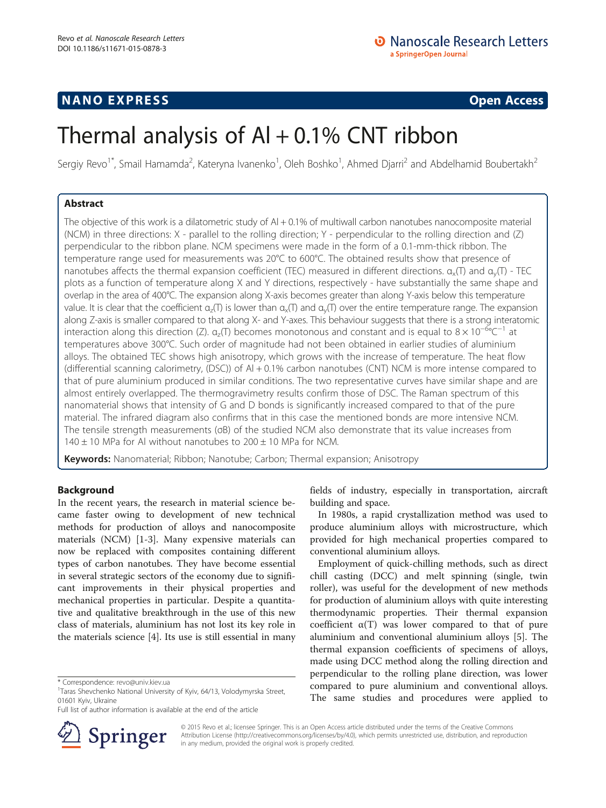# Thermal analysis of  $Al + 0.1\%$  CNT ribbon

Sergiy Revo<sup>1\*</sup>, Smail Hamamda<sup>2</sup>, Kateryna Ivanenko<sup>1</sup>, Oleh Boshko<sup>1</sup>, Ahmed Djarri<sup>2</sup> and Abdelhamid Boubertakh<sup>2</sup>

# Abstract

The objective of this work is a dilatometric study of Al + 0.1% of multiwall carbon nanotubes nanocomposite material (NCM) in three directions: X - parallel to the rolling direction; Y - perpendicular to the rolling direction and (Z) perpendicular to the ribbon plane. NCM specimens were made in the form of a 0.1-mm-thick ribbon. The temperature range used for measurements was 20°C to 600°C. The obtained results show that presence of nanotubes affects the thermal expansion coefficient (TEC) measured in different directions.  $\alpha_x(T)$  and  $\alpha_y(T)$  - TEC plots as a function of temperature along X and Y directions, respectively - have substantially the same shape and overlap in the area of 400°C. The expansion along X-axis becomes greater than along Y-axis below this temperature value. It is clear that the coefficient  $\alpha_2(T)$  is lower than  $\alpha_x(T)$  and  $\alpha_y(T)$  over the entire temperature range. The expansion along Z-axis is smaller compared to that along X- and Y-axes. This behaviour suggests that there is a strong interatomic interaction along this direction (Z).  $\alpha_z(T)$  becomes monotonous and constant and is equal to  $8 \times 10^{-6}$ °C<sup>-1</sup> at temperatures above 300°C. Such order of magnitude had not been obtained in earlier studies of aluminium alloys. The obtained TEC shows high anisotropy, which grows with the increase of temperature. The heat flow (differential scanning calorimetry, (DSC)) of Al + 0.1% carbon nanotubes (CNT) NCM is more intense compared to that of pure aluminium produced in similar conditions. The two representative curves have similar shape and are almost entirely overlapped. The thermogravimetry results confirm those of DSC. The Raman spectrum of this nanomaterial shows that intensity of G and D bonds is significantly increased compared to that of the pure material. The infrared diagram also confirms that in this case the mentioned bonds are more intensive NCM. The tensile strength measurements (σB) of the studied NCM also demonstrate that its value increases from  $140 \pm 10$  MPa for Al without nanotubes to  $200 \pm 10$  MPa for NCM.

Keywords: Nanomaterial; Ribbon; Nanotube; Carbon; Thermal expansion; Anisotropy

## Background

In the recent years, the research in material science became faster owing to development of new technical methods for production of alloys and nanocomposite materials (NCM) [\[1-3](#page-5-0)]. Many expensive materials can now be replaced with composites containing different types of carbon nanotubes. They have become essential in several strategic sectors of the economy due to significant improvements in their physical properties and mechanical properties in particular. Despite a quantitative and qualitative breakthrough in the use of this new class of materials, aluminium has not lost its key role in the materials science [[4\]](#page-5-0). Its use is still essential in many

Full list of author information is available at the end of the article



fields of industry, especially in transportation, aircraft building and space.

In 1980s, a rapid crystallization method was used to produce aluminium alloys with microstructure, which provided for high mechanical properties compared to conventional aluminium alloys.

Employment of quick-chilling methods, such as direct chill casting (DCC) and melt spinning (single, twin roller), was useful for the development of new methods for production of aluminium alloys with quite interesting thermodynamic properties. Their thermal expansion coefficient  $\alpha(T)$  was lower compared to that of pure aluminium and conventional aluminium alloys [\[5\]](#page-5-0). The thermal expansion coefficients of specimens of alloys, made using DCC method along the rolling direction and perpendicular to the rolling plane direction, was lower compared to pure aluminium and conventional alloys. The same studies and procedures were applied to

© 2015 Revo et al.; licensee Springer. This is an Open Access article distributed under the terms of the Creative Commons Attribution License [\(http://creativecommons.org/licenses/by/4.0\)](http://creativecommons.org/licenses/by/4.0), which permits unrestricted use, distribution, and reproduction in any medium, provided the original work is properly credited.

<sup>\*</sup> Correspondence: [revo@univ.kiev.ua](mailto:revo@univ.kiev.ua) <sup>1</sup>

<sup>&</sup>lt;sup>1</sup>Taras Shevchenko National University of Kyiv, 64/13, Volodymyrska Street, 01601 Kyiv, Ukraine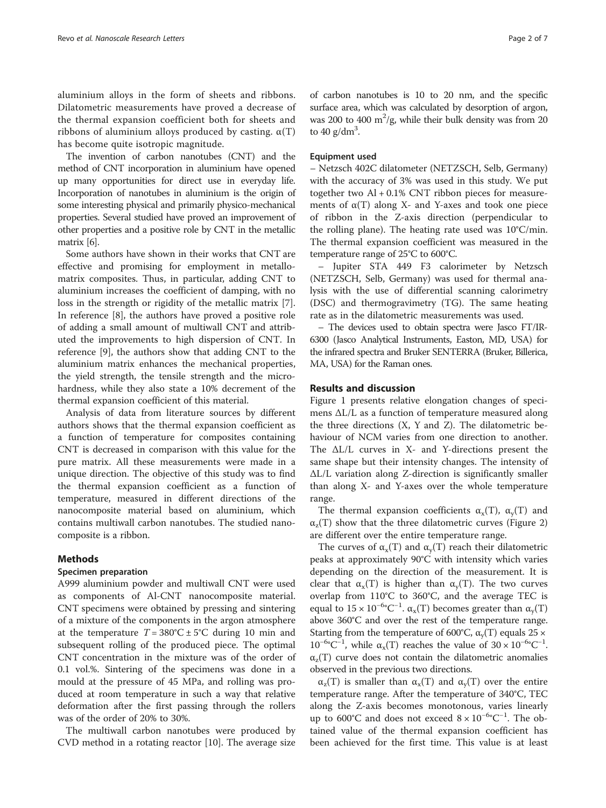aluminium alloys in the form of sheets and ribbons. Dilatometric measurements have proved a decrease of the thermal expansion coefficient both for sheets and ribbons of aluminium alloys produced by casting.  $\alpha(T)$ has become quite isotropic magnitude.

The invention of carbon nanotubes (CNT) and the method of CNT incorporation in aluminium have opened up many opportunities for direct use in everyday life. Incorporation of nanotubes in aluminium is the origin of some interesting physical and primarily physico-mechanical properties. Several studied have proved an improvement of other properties and a positive role by CNT in the metallic matrix [\[6\]](#page-5-0).

Some authors have shown in their works that CNT are effective and promising for employment in metallomatrix composites. Thus, in particular, adding CNT to aluminium increases the coefficient of damping, with no loss in the strength or rigidity of the metallic matrix [\[7](#page-5-0)]. In reference [\[8](#page-5-0)], the authors have proved a positive role of adding a small amount of multiwall CNT and attributed the improvements to high dispersion of CNT. In reference [\[9\]](#page-5-0), the authors show that adding CNT to the aluminium matrix enhances the mechanical properties, the yield strength, the tensile strength and the microhardness, while they also state a 10% decrement of the thermal expansion coefficient of this material.

Analysis of data from literature sources by different authors shows that the thermal expansion coefficient as a function of temperature for composites containing CNT is decreased in comparison with this value for the pure matrix. All these measurements were made in a unique direction. The objective of this study was to find the thermal expansion coefficient as a function of temperature, measured in different directions of the nanocomposite material based on aluminium, which contains multiwall carbon nanotubes. The studied nanocomposite is a ribbon.

## Methods

## Specimen preparation

A999 aluminium powder and multiwall CNT were used as components of Al-CNT nanocomposite material. CNT specimens were obtained by pressing and sintering of a mixture of the components in the argon atmosphere at the temperature  $T = 380^{\circ} \text{C} \pm 5^{\circ} \text{C}$  during 10 min and subsequent rolling of the produced piece. The optimal CNT concentration in the mixture was of the order of 0.1 vol.%. Sintering of the specimens was done in a mould at the pressure of 45 MPa, and rolling was produced at room temperature in such a way that relative deformation after the first passing through the rollers was of the order of 20% to 30%.

The multiwall carbon nanotubes were produced by CVD method in a rotating reactor [\[10](#page-5-0)]. The average size of carbon nanotubes is 10 to 20 nm, and the specific surface area, which was calculated by desorption of argon, was 200 to 400  $m^2/g$ , while their bulk density was from 20 to  $40$  g/dm<sup>3</sup>.

## Equipment used

– Netzsch 402C dilatometer (NETZSCH, Selb, Germany) with the accuracy of 3% was used in this study. We put together two  $Al + 0.1\%$  CNT ribbon pieces for measurements of  $\alpha(T)$  along X- and Y-axes and took one piece of ribbon in the Z-axis direction (perpendicular to the rolling plane). The heating rate used was 10°C/min. The thermal expansion coefficient was measured in the temperature range of 25°C to 600°C.

– Jupiter STA 449 F3 calorimeter by Netzsch (NETZSCH, Selb, Germany) was used for thermal analysis with the use of differential scanning calorimetry (DSC) and thermogravimetry (TG). The same heating rate as in the dilatometric measurements was used.

– The devices used to obtain spectra were Jasco FT/IR-6300 (Jasco Analytical Instruments, Easton, MD, USA) for the infrared spectra and Bruker SENTERRA (Bruker, Billerica, MA, USA) for the Raman ones.

## Results and discussion

Figure [1](#page-2-0) presents relative elongation changes of specimens ΔL/L as a function of temperature measured along the three directions (X, Y and Z). The dilatometric behaviour of NCM varies from one direction to another. The ΔL/L curves in X- and Y-directions present the same shape but their intensity changes. The intensity of ΔL/L variation along Z-direction is significantly smaller than along X- and Y-axes over the whole temperature range.

The thermal expansion coefficients  $\alpha_x(T)$ ,  $\alpha_y(T)$  and  $\alpha$ <sub>z</sub>(T) show that the three dilatometric curves (Figure [2](#page-2-0)) are different over the entire temperature range.

The curves of  $\alpha_x(T)$  and  $\alpha_y(T)$  reach their dilatometric peaks at approximately 90°C with intensity which varies depending on the direction of the measurement. It is clear that  $\alpha_x(T)$  is higher than  $\alpha_y(T)$ . The two curves overlap from 110°C to 360°C, and the average TEC is equal to  $15 \times 10^{-6}$ °C<sup>-1</sup>.  $\alpha_x(T)$  becomes greater than  $\alpha_y(T)$ above 360°C and over the rest of the temperature range. Starting from the temperature of 600°C,  $\alpha_{y}(T)$  equals 25  $\times$ 10<sup>-6</sup>°C<sup>-1</sup>, while α<sub>x</sub>(T) reaches the value of 30 × 10<sup>-6</sup>°C<sup>-1</sup>.  $\alpha$ <sub>z</sub>(T) curve does not contain the dilatometric anomalies observed in the previous two directions.

 $\alpha_{z}(T)$  is smaller than  $\alpha_{x}(T)$  and  $\alpha_{y}(T)$  over the entire temperature range. After the temperature of 340°C, TEC along the Z-axis becomes monotonous, varies linearly up to 600°C and does not exceed  $8 \times 10^{-6}$ °C<sup>-1</sup>. The obtained value of the thermal expansion coefficient has been achieved for the first time. This value is at least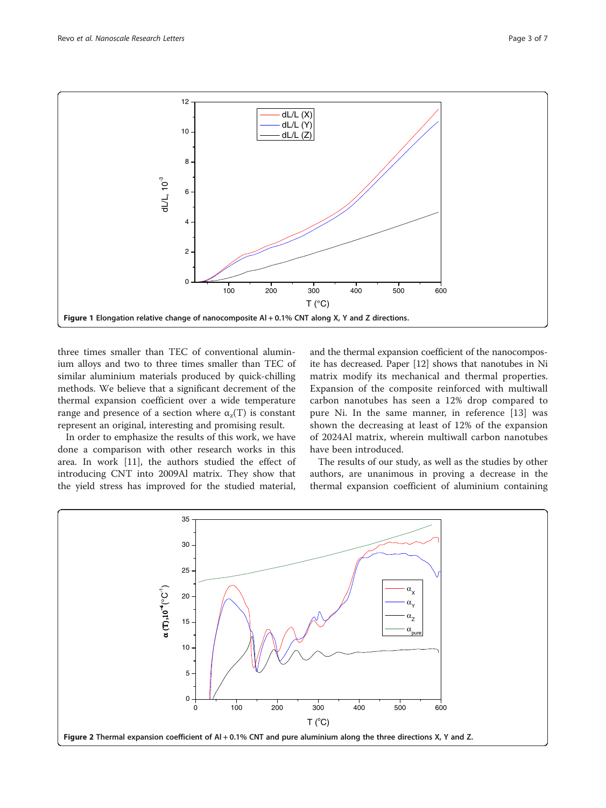<span id="page-2-0"></span>

three times smaller than TEC of conventional aluminium alloys and two to three times smaller than TEC of similar aluminium materials produced by quick-chilling methods. We believe that a significant decrement of the thermal expansion coefficient over a wide temperature range and presence of a section where  $\alpha$ <sub>z</sub>(T) is constant represent an original, interesting and promising result.

In order to emphasize the results of this work, we have done a comparison with other research works in this area. In work [\[11\]](#page-5-0), the authors studied the effect of introducing CNT into 2009Al matrix. They show that the yield stress has improved for the studied material, and the thermal expansion coefficient of the nanocomposite has decreased. Paper [\[12\]](#page-5-0) shows that nanotubes in Ni matrix modify its mechanical and thermal properties. Expansion of the composite reinforced with multiwall carbon nanotubes has seen a 12% drop compared to pure Ni. In the same manner, in reference [[13\]](#page-6-0) was shown the decreasing at least of 12% of the expansion of 2024Al matrix, wherein multiwall carbon nanotubes have been introduced.

The results of our study, as well as the studies by other authors, are unanimous in proving a decrease in the thermal expansion coefficient of aluminium containing

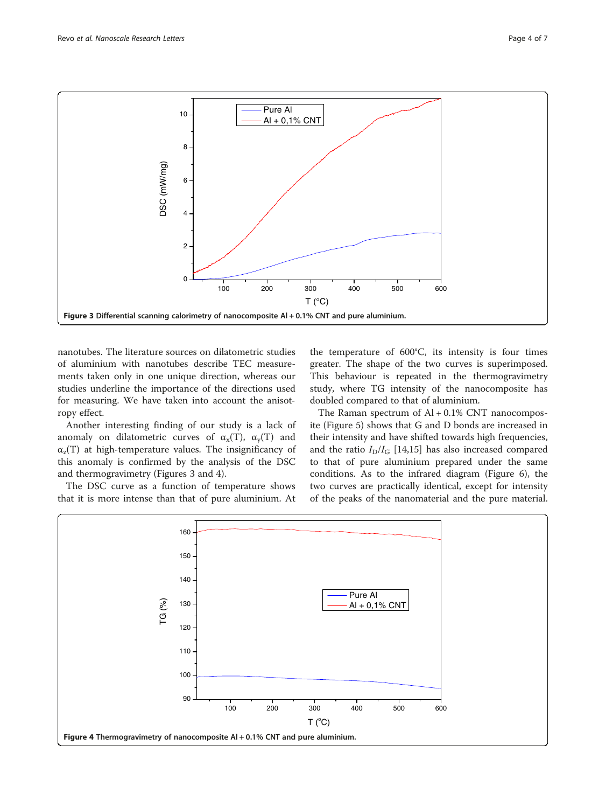

nanotubes. The literature sources on dilatometric studies of aluminium with nanotubes describe TEC measurements taken only in one unique direction, whereas our studies underline the importance of the directions used for measuring. We have taken into account the anisotropy effect.

Another interesting finding of our study is a lack of anomaly on dilatometric curves of  $\alpha_x(T)$ ,  $\alpha_y(T)$  and  $\alpha$ <sub>z</sub>(T) at high-temperature values. The insignificancy of this anomaly is confirmed by the analysis of the DSC and thermogravimetry (Figures 3 and 4).

The DSC curve as a function of temperature shows that it is more intense than that of pure aluminium. At the temperature of 600°C, its intensity is four times greater. The shape of the two curves is superimposed. This behaviour is repeated in the thermogravimetry study, where TG intensity of the nanocomposite has doubled compared to that of aluminium.

The Raman spectrum of Al + 0.1% CNT nanocomposite (Figure [5\)](#page-4-0) shows that G and D bonds are increased in their intensity and have shifted towards high frequencies, and the ratio  $I_D/I_G$  [\[14,15](#page-6-0)] has also increased compared to that of pure aluminium prepared under the same conditions. As to the infrared diagram (Figure [6](#page-4-0)), the two curves are practically identical, except for intensity of the peaks of the nanomaterial and the pure material.

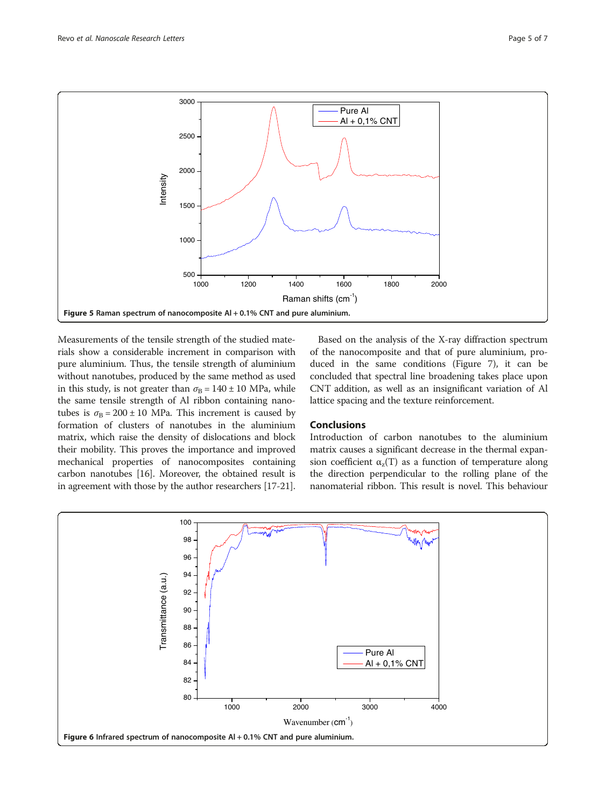<span id="page-4-0"></span>

Measurements of the tensile strength of the studied materials show a considerable increment in comparison with pure aluminium. Thus, the tensile strength of aluminium without nanotubes, produced by the same method as used in this study, is not greater than  $\sigma_B = 140 \pm 10$  MPa, while the same tensile strength of Al ribbon containing nanotubes is  $\sigma_B = 200 \pm 10$  MPa. This increment is caused by formation of clusters of nanotubes in the aluminium matrix, which raise the density of dislocations and block their mobility. This proves the importance and improved mechanical properties of nanocomposites containing carbon nanotubes [\[16](#page-6-0)]. Moreover, the obtained result is in agreement with those by the author researchers [\[17](#page-6-0)-[21](#page-6-0)].

Based on the analysis of the X-ray diffraction spectrum of the nanocomposite and that of pure aluminium, produced in the same conditions (Figure [7\)](#page-5-0), it can be concluded that spectral line broadening takes place upon CNT addition, as well as an insignificant variation of Al lattice spacing and the texture reinforcement.

## Conclusions

Introduction of carbon nanotubes to the aluminium matrix causes a significant decrease in the thermal expansion coefficient  $\alpha$ <sub>z</sub>(T) as a function of temperature along the direction perpendicular to the rolling plane of the nanomaterial ribbon. This result is novel. This behaviour

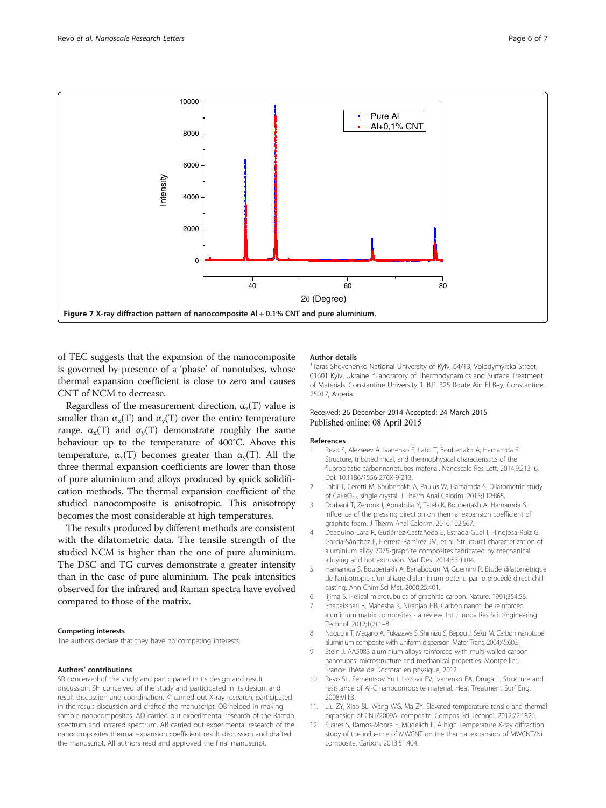<span id="page-5-0"></span>

of TEC suggests that the expansion of the nanocomposite is governed by presence of a 'phase' of nanotubes, whose thermal expansion coefficient is close to zero and causes CNT of NCM to decrease.

Regardless of the measurement direction,  $\alpha_z(T)$  value is smaller than  $\alpha_x(T)$  and  $\alpha_y(T)$  over the entire temperature range.  $\alpha_x(T)$  and  $\alpha_y(T)$  demonstrate roughly the same behaviour up to the temperature of 400°C. Above this temperature,  $\alpha_{\rm v}(T)$  becomes greater than  $\alpha_{\rm v}(T)$ . All the three thermal expansion coefficients are lower than those of pure aluminium and alloys produced by quick solidification methods. The thermal expansion coefficient of the studied nanocomposite is anisotropic. This anisotropy becomes the most considerable at high temperatures.

The results produced by different methods are consistent with the dilatometric data. The tensile strength of the studied NCM is higher than the one of pure aluminium. The DSC and TG curves demonstrate a greater intensity than in the case of pure aluminium. The peak intensities observed for the infrared and Raman spectra have evolved compared to those of the matrix.

#### Competing interests

The authors declare that they have no competing interests.

### Authors' contributions

SR conceived of the study and participated in its design and result discussion. SH conceived of the study and participated in its design, and result discussion and coordination. KI carried out X-ray research, participated in the result discussion and drafted the manuscript. OB helped in making sample nanocomposites. AD carried out experimental research of the Raman spectrum and infrared spectrum. AB carried out experimental research of the nanocomposites thermal expansion coefficient result discussion and drafted the manuscript. All authors read and approved the final manuscript.

#### Author details

<sup>1</sup>Taras Shevchenko National University of Kyiv, 64/13, Volodymyrska Street, 01601 Kyiv, Ukraine. <sup>2</sup> Laboratory of Thermodynamics and Surface Treatment of Materials, Constantine University 1, B.P. 325 Route Ain El Bey, Constantine 25017, Algeria.

## Received: 26 December 2014 Accepted: 24 March 2015 Published online: 08 April 2015

#### References

- 1. Revo S, Alekseev A, Ivanenko E, Labii T, Boubertakh A, Hamamda S. Structure, tribotechnical, and thermophysical characteristics of the fluoroplastic carbonnanotubes material. Nanoscale Res Lett. 2014;9:213–6. Doi: 10.1186/1556-276X-9-213.
- 2. Labii T, Ceretti M, Boubertakh A, Paulus W, Hamamda S. Dilatometric study of CaFeO<sub>2.5</sub> single crystal. J Therm Anal Calorim. 2013;112:865.
- 3. Dorbani T, Zerrouk I, Aouabdia Y, Taleb K, Boubertakh A, Hamamda S. Influence of the pressing direction on thermal expansion coefficient of graphite foam. J Therm Anal Calorim. 2010;102:667.
- 4. Deaquino-Lara R, Gutiérrez-Castañeda E, Estrada-Guel I, Hinojosa-Ruiz G, García-Sánchez E, Herrera-Ramírez JM, et al. Structural characterization of aluminium alloy 7075-graphite composites fabricated by mechanical alloying and hot extrusion. Mat Des. 2014;53:1104.
- 5. Hamamda S, Boubertakh A, Benabdoun M, Guemini R. Etude dilatometrique de l'anisotropie d'un alliage d'aluminium obtenu par le procédé direct chill casting. Ann Chim Sci Mat. 2000;25:401.
- 6. Iijima S. Helical microtubules of graphitic carbon. Nature. 1991;354:56.
- 7. Shadakshari R, Mahesha K, Niranjan HB. Carbon nanotube reinforced aluminium matrix composites - a review. Int J Innov Res Sci, Rngineering Technol. 2012;1(2):1–8.
- 8. Noguchi T, Magario A, Fukazawa S, Shimizu S, Beppu J, Seku M. Carbon nanotube aluminium composite with uniform dispersion. Mater Trans. 2004;45:602.
- 9. Stein J. AA5083 aluminium alloys reinforced with multi-walled carbon nanotubes: microstructure and mechanical properties. Montpellier, France: Thèse de Doctorat en physique; 2012.
- 10. Revo SL, Sementsov Yu I, Lozovii FV, Ivanenko EA, Druga L. Structure and resistance of Al-C nanocomposite material. Heat Treatment Surf Eng. 2008;VIII:3.
- 11. Liu ZY, Xiao BL, Wang WG, Ma ZY. Elevated temperature tensile and thermal expansion of CNT/2009Al composite. Compos Sci Technol. 2012;72:1826.
- 12. Suares S, Ramos-Moore E, Müdelich F. A high Temperature X-ray diffraction study of the influence of MWCNT on the thermal expansion of MWCNT/Ni composite. Carbon. 2013;51:404.